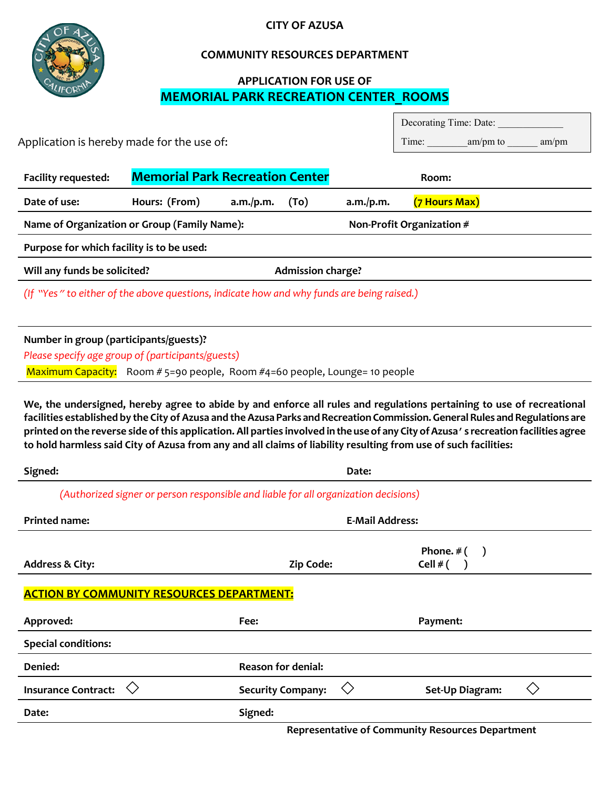

### **CITY OF AZUSA**

### **COMMUNITY RESOURCES DEPARTMENT**

## **APPLICATION FOR USE OF MEMORIAL PARK RECREATION CENTER\_ROOMS**

|                                                                                           |                                        |           |      |           |               | Decorating Time: Date: |       |  |
|-------------------------------------------------------------------------------------------|----------------------------------------|-----------|------|-----------|---------------|------------------------|-------|--|
| Application is hereby made for the use of:                                                |                                        |           |      |           |               | Time: am/pm to         | am/pm |  |
| <b>Facility requested:</b>                                                                | <b>Memorial Park Recreation Center</b> |           |      |           | Room:         |                        |       |  |
|                                                                                           |                                        |           |      |           |               |                        |       |  |
| Date of use:                                                                              | Hours: (From)                          | a.m./p.m. | (To) | a.m./p.m. | (7 Hours Max) |                        |       |  |
| Name of Organization or Group (Family Name):<br>Non-Profit Organization #                 |                                        |           |      |           |               |                        |       |  |
| Purpose for which facility is to be used:                                                 |                                        |           |      |           |               |                        |       |  |
| Will any funds be solicited?<br><b>Admission charge?</b>                                  |                                        |           |      |           |               |                        |       |  |
| (If "Yes" to either of the above questions, indicate how and why funds are being raised.) |                                        |           |      |           |               |                        |       |  |
|                                                                                           |                                        |           |      |           |               |                        |       |  |
| Number in group (participants/guests)?                                                    |                                        |           |      |           |               |                        |       |  |
| Please specify age group of (participants/guests)                                         |                                        |           |      |           |               |                        |       |  |
| Maximum Capacity: Room # 5=90 people, Room #4=60 people, Lounge= 10 people                |                                        |           |      |           |               |                        |       |  |

**We, the undersigned, hereby agree to abide by and enforce all rules and regulations pertaining to use of recreational facilities established by the City of Azusa and the Azusa Parks and Recreation Commission. General Rules and Regulations are printed on the reverse side of this application. All parties involved in the use of any City of Azusa's recreation facilities agree to hold harmless said City of Azusa from any and all claims of liability resulting from use of such facilities:**

| Signed:                                                                             |                           | Date:                    |  |  |  |  |  |  |
|-------------------------------------------------------------------------------------|---------------------------|--------------------------|--|--|--|--|--|--|
| (Authorized signer or person responsible and liable for all organization decisions) |                           |                          |  |  |  |  |  |  |
| <b>Printed name:</b>                                                                | <b>E-Mail Address:</b>    |                          |  |  |  |  |  |  |
| <b>Address &amp; City:</b>                                                          | Zip Code:                 | Phone. $#$ (<br>Cell # ( |  |  |  |  |  |  |
| <b>ACTION BY COMMUNITY RESOURCES DEPARTMENT:</b>                                    |                           |                          |  |  |  |  |  |  |
| Approved:                                                                           | Fee:                      | Payment:                 |  |  |  |  |  |  |
| <b>Special conditions:</b>                                                          |                           |                          |  |  |  |  |  |  |
| Denied:                                                                             | <b>Reason for denial:</b> |                          |  |  |  |  |  |  |
| <b>Insurance Contract:</b>                                                          | <b>Security Company:</b>  | く冫<br>Set-Up Diagram:    |  |  |  |  |  |  |
| Date:                                                                               | Signed:                   |                          |  |  |  |  |  |  |

**Representative of Community Resources Department**